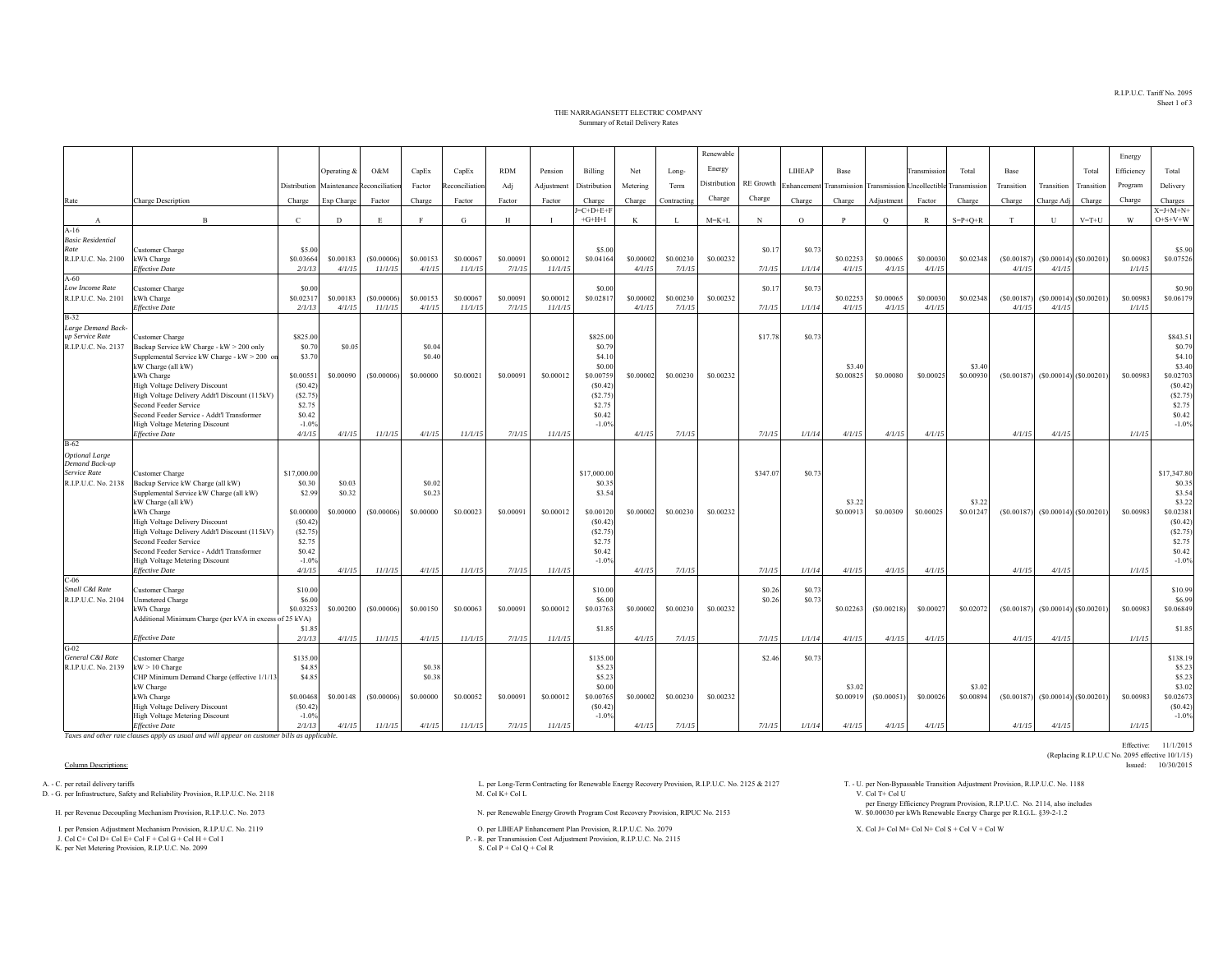R.I.P.U.C. Tariff No. 2095Sheet 1 of 3

Effective: 11/1/2015

(Replacing R.I.P.U.C No. 2095 effective 10/1/15)<br>Issued: 10/30/2015

## THE NARRAGANSETT ELECTRIC COMPANYSummary of Retail Delivery Rates

|                                     |                                                                        |                       |             |                                         |           |               |            |                |                         |           |              | Renewable           |           |               |                     |            |                                         |                    |            |              |                           | Energy     |                         |
|-------------------------------------|------------------------------------------------------------------------|-----------------------|-------------|-----------------------------------------|-----------|---------------|------------|----------------|-------------------------|-----------|--------------|---------------------|-----------|---------------|---------------------|------------|-----------------------------------------|--------------------|------------|--------------|---------------------------|------------|-------------------------|
|                                     |                                                                        |                       | Operating & | O&M                                     | CapEx     | CapEx         | <b>RDM</b> | Pension        | Billing                 | Net       | Long-        | Energy              |           | <b>LIHEAP</b> | Base                |            | <b>Transmission</b>                     | Total              | Base       |              | Total                     | Efficiency | Total                   |
|                                     |                                                                        |                       |             |                                         |           |               |            |                |                         |           |              | <b>Distribution</b> | RE Growth |               |                     |            |                                         |                    |            |              |                           |            |                         |
|                                     |                                                                        |                       |             | Distribution Maintenance Reconciliation | Factor    | econciliation | Adj        | Adjustment     | Distribution            | Metering  | Term         |                     |           | Enhancemen    |                     |            | Transmission Transmission Uncollectible | Transmission       | Transition | Transition   | Transition                | Program    | Delivery                |
| Rate                                | Charge Description                                                     | Charge                | Exp Charge  | Factor                                  | Charge    | Factor        | Factor     | Factor         | Charge                  | Charge    | Contracting  | Charge              | Charge    | Charge        | Charge              | Adjustment | Factor                                  | Charge             | Charge     | Charge Adj   | Charge                    | Charge     | Charges                 |
| A                                   | $\overline{B}$                                                         | $\mathcal{C}$         | D           | E.                                      |           | G             | H          | $\blacksquare$ | $J=C+D+E+F$<br>$+G+H+I$ | K         | $\mathbf{I}$ | $M = K + L$         | N         | $\Omega$      | P                   | $\circ$    | $\mathbb{R}$                            | $S = P + Q + R$    | T          | $\mathbf{U}$ | $V = T + U$               | W          | $X=J+M+N+$<br>$O+S+V+W$ |
| $A-16$                              |                                                                        |                       |             |                                         |           |               |            |                |                         |           |              |                     |           |               |                     |            |                                         |                    |            |              |                           |            |                         |
| <b>Basic Residential</b>            |                                                                        |                       |             |                                         |           |               |            |                |                         |           |              |                     |           |               |                     |            |                                         |                    |            |              |                           |            |                         |
| Rate<br>R.I.P.U.C. No. 2100         | Customer Charge<br>kWh Charge                                          | \$5.00<br>\$0.03664   | \$0.00183   | (S0.00006)                              | \$0.00153 | \$0,00067     | \$0.00091  | \$0.00012      | \$5.00<br>\$0.04164     | \$0.0000  | \$0.00230    | \$0.00232           | \$0.1     | \$0.73        | \$0.02253           | \$0.00065  | \$0.00030                               | \$0.02348          | (S0.00187) |              | $(S0.00014)$ (\$0.00201)  | \$0.00983  | \$5.90<br>\$0.07526     |
|                                     | <b>Effective Date</b>                                                  | 2/1/13                | 4/1/15      | 11/1/15                                 | 4/1/15    | 11/1/15       | 7/1/15     | 11/1/15        |                         | 4/1/15    | 7/1/15       |                     | 7/1/15    | 1/1/14        | 4/1/15              | 4/1/15     | 4/1/15                                  |                    | 4/1/15     | 4/1/15       |                           | 1/1/15     |                         |
| A-60                                |                                                                        |                       |             |                                         |           |               |            |                |                         |           |              |                     |           |               |                     |            |                                         |                    |            |              |                           |            |                         |
| Low Income Rate                     | Customer Charge                                                        | \$0.00                |             |                                         |           |               |            |                | \$0.00                  |           |              |                     | \$0.17    | \$0.7         |                     |            |                                         |                    |            |              |                           |            | \$0.90                  |
| R.I.P.U.C. No. 2101                 | kWh Charge                                                             | \$0.0231              | \$0.00183   | (S0.00006)                              | \$0.00153 | \$0,00067     | \$0.00091  | \$0,00012      | \$0.02817               | \$0,0000  | \$0.00230    | \$0.00232           |           |               | \$0.02253           | \$0,00065  | \$0.00030                               | \$0.02348          | (S0.00187) |              | $(S0.00014)$ (\$0.00201)  | \$0.00983  | \$0.06179               |
| $B-32$                              | <b>Effective Date</b>                                                  | 2/1/13                | 4/1/15      | 11/1/15                                 | 4/1/15    | 11/1/15       | 7/1/15     | 11/1/15        |                         | 4/1/15    | 7/1/15       |                     | 7/1/15    | 1/1/14        | 4/1/15              | 4/1/15     | 4/1/15                                  |                    | 4/1/15     | 4/1/15       |                           | 1/1/15     |                         |
| Large Demand Back-                  |                                                                        |                       |             |                                         |           |               |            |                |                         |           |              |                     |           |               |                     |            |                                         |                    |            |              |                           |            |                         |
| up Service Rate                     | Customer Charge                                                        | \$825.00              |             |                                         |           |               |            |                | \$825.00                |           |              |                     | \$17.78   | \$0.7         |                     |            |                                         |                    |            |              |                           |            | \$843.5                 |
| R.I.P.U.C. No. 2137                 | Backup Service kW Charge - kW > 200 only                               | \$0.70                | \$0.05      |                                         | \$0.04    |               |            |                | \$0.79                  |           |              |                     |           |               |                     |            |                                         |                    |            |              |                           |            | \$0.79                  |
|                                     | Supplemental Service kW Charge - kW > 200 or                           | \$3.70                |             |                                         | \$0.40    |               |            |                | \$4.10                  |           |              |                     |           |               |                     |            |                                         |                    |            |              |                           |            | \$4.10                  |
|                                     | kW Charge (all kW)<br>kWh Charge                                       | \$0.00551             | \$0.00090   | (S0.00006)                              | \$0,00000 | \$0.00021     | \$0.00091  | \$0.00012      | \$0.00<br>\$0.00759     | \$0.00002 | \$0.00230    | \$0.00232           |           |               | \$3.40<br>\$0.00825 | \$0.00080  | \$0.00025                               | \$3.40<br>\$0.0093 | (S0.00187) |              | $(S0.00014)$ $(S0.00201)$ | \$0.00983  | \$3.40<br>\$0.02703     |
|                                     | <b>High Voltage Delivery Discount</b>                                  | (S0.42)               |             |                                         |           |               |            |                | (S0.42)                 |           |              |                     |           |               |                     |            |                                         |                    |            |              |                           |            | (S0.42)                 |
|                                     | High Voltage Delivery Addt'l Discount (115kV)                          | (S2.75)               |             |                                         |           |               |            |                | (S2.75)                 |           |              |                     |           |               |                     |            |                                         |                    |            |              |                           |            | (S2.75)                 |
|                                     | Second Feeder Service                                                  | \$2.75                |             |                                         |           |               |            |                | \$2.75                  |           |              |                     |           |               |                     |            |                                         |                    |            |              |                           |            | \$2.75                  |
|                                     | Second Feeder Service - Addt'l Transformer                             | \$0.42<br>$-1.0%$     |             |                                         |           |               |            |                | \$0.42<br>$-1.0%$       |           |              |                     |           |               |                     |            |                                         |                    |            |              |                           |            | \$0.42                  |
|                                     | High Voltage Metering Discount<br><b>Effective Date</b>                | 4/1/15                | 4/1/15      | 11/1/15                                 | 4/1/15    | 11/1/15       | 7/1/15     | 11/1/15        |                         | 4/1/15    | 7/1/15       |                     | 7/1/15    | 1/1/14        | 4/1/15              | 4/1/15     | 4/1/15                                  |                    | 4/1/15     | 4/1/15       |                           | 1/1/15     | $-1.0%$                 |
| $B-62$                              |                                                                        |                       |             |                                         |           |               |            |                |                         |           |              |                     |           |               |                     |            |                                         |                    |            |              |                           |            |                         |
| <b>Optional Large</b>               |                                                                        |                       |             |                                         |           |               |            |                |                         |           |              |                     |           |               |                     |            |                                         |                    |            |              |                           |            |                         |
| Demand Back-up                      |                                                                        |                       |             |                                         |           |               |            |                |                         |           |              |                     |           |               |                     |            |                                         |                    |            |              |                           |            |                         |
| Service Rate<br>R.I.P.U.C. No. 2138 | Customer Charge<br>Backup Service kW Charge (all kW)                   | \$17,000.00<br>\$0.30 | \$0.03      |                                         | \$0.02    |               |            |                | \$17,000.00<br>\$0.3\$  |           |              |                     | \$347.07  | \$0.7         |                     |            |                                         |                    |            |              |                           |            | \$17,347.80<br>\$0.35   |
|                                     | Supplemental Service kW Charge (all kW)                                | \$2.99                | \$0.32      |                                         | \$0.23    |               |            |                | \$3.54                  |           |              |                     |           |               |                     |            |                                         |                    |            |              |                           |            | \$3.54                  |
|                                     | kW Charge (all kW)                                                     |                       |             |                                         |           |               |            |                |                         |           |              |                     |           |               | \$3.22              |            |                                         | \$3.2              |            |              |                           |            | \$3.22                  |
|                                     | kWh Charge                                                             | \$0,00000             | \$0.00000   | (S0.00006)                              | \$0,00000 | \$0.00023     | \$0.00091  | \$0.00012      | \$0.00120               | \$0,00002 | \$0.00230    | \$0.00232           |           |               | \$0.00913           | \$0.00309  | \$0.00025                               | \$0.0124           | (S0.00187) |              | $(S0.00014)$ $(S0.00201)$ | \$0.00983  | \$0.02381               |
|                                     | <b>High Voltage Delivery Discount</b>                                  | (S0.42)               |             |                                         |           |               |            |                | (S0.42)                 |           |              |                     |           |               |                     |            |                                         |                    |            |              |                           |            | (S0.42)                 |
|                                     | High Voltage Delivery Addt'l Discount (115kV)<br>Second Feeder Service | (S2.75)<br>\$2.75     |             |                                         |           |               |            |                | (S2.75)<br>\$2.75       |           |              |                     |           |               |                     |            |                                         |                    |            |              |                           |            | (S2.75)<br>\$2.75       |
|                                     | Second Feeder Service - Addt'l Transformer                             | \$0.42                |             |                                         |           |               |            |                | \$0.42                  |           |              |                     |           |               |                     |            |                                         |                    |            |              |                           |            | \$0.42                  |
|                                     | High Voltage Metering Discount                                         | $-1.0%$               |             |                                         |           |               |            |                | $-1.0%$                 |           |              |                     |           |               |                     |            |                                         |                    |            |              |                           |            | $-1.0%$                 |
|                                     | <b>Effective Date</b>                                                  | 4/1/15                | 4/1/15      | 11/1/15                                 | 4/1/15    | 11/1/15       | 7/1/15     | 11/1/15        |                         | 4/1/15    | 7/1/15       |                     | 7/1/15    | 1/1/14        | 4/1/15              | 4/1/15     | 4/1/15                                  |                    | 4/1/15     | 4/1/15       |                           | 1/1/15     |                         |
| $C-06$<br>Small C&I Rate            | Customer Charge                                                        | \$10.00               |             |                                         |           |               |            |                | \$10.00                 |           |              |                     | \$0.26    | \$0.73        |                     |            |                                         |                    |            |              |                           |            | \$10.99                 |
| R.I.P.U.C. No. 2104                 | Unmetered Charge                                                       | \$6.00                |             |                                         |           |               |            |                | \$6.00                  |           |              |                     | \$0.26    | \$0.73        |                     |            |                                         |                    |            |              |                           |            | \$6.99                  |
|                                     | kWh Charge                                                             | \$0.03253             | \$0.00200   | (S0.00006)                              | \$0.00150 | \$0.00063     | \$0.00091  | \$0.00012      | \$0.03763               | \$0.0000  | \$0.00230    | \$0.00232           |           |               | \$0.02263           | (S0.00218) | \$0.00027                               | \$0.02072          | (S0.00187) |              | $(S0.00014)$ $(S0.00201)$ | \$0.00983  | \$0.06849               |
|                                     | Additional Minimum Charge (per kVA in excess of 25 kVA)                |                       |             |                                         |           |               |            |                |                         |           |              |                     |           |               |                     |            |                                         |                    |            |              |                           |            |                         |
|                                     |                                                                        | \$1.8                 |             |                                         |           |               |            |                | \$1.85                  |           |              |                     |           |               |                     |            |                                         |                    |            |              |                           |            | \$1.85                  |
| $G-02$                              | <b>Effective Date</b>                                                  | 2/1/13                | 4/1/15      | 11/1/15                                 | 4/1/15    | 11/1/15       | 7/1/15     | 11/1/15        |                         | 4/1/15    | 7/1/15       |                     | 7/1/15    | 1/1/14        | 4/1/15              | 4/1/15     | 4/1/15                                  |                    | 4/1/15     | 4/1/15       |                           | 1/1/15     |                         |
| General C&I Rate                    | Customer Charge                                                        | \$135.00              |             |                                         |           |               |            |                | \$135.00                |           |              |                     | \$2.46    | \$0.73        |                     |            |                                         |                    |            |              |                           |            | \$138.19                |
| R.I.P.U.C. No. 2139                 | $kW > 10$ Charge                                                       | \$4.85                |             |                                         | \$0.38    |               |            |                | \$5.23                  |           |              |                     |           |               |                     |            |                                         |                    |            |              |                           |            | \$5.23                  |
|                                     | CHP Minimum Demand Charge (effective 1/1/1                             | \$4.85                |             |                                         | \$0.38    |               |            |                | \$5.23                  |           |              |                     |           |               |                     |            |                                         |                    |            |              |                           |            | \$5.23                  |
|                                     | kW Charge                                                              |                       |             |                                         |           |               |            |                | \$0.00                  |           |              |                     |           |               | \$3.02              |            |                                         | \$3.02             |            |              |                           |            | \$3.02                  |
|                                     | kWh Charge<br>High Voltage Delivery Discount                           | \$0.00468<br>(S0.42)  | \$0.00148   | (S0.00006)                              | \$0,00000 | \$0.00052     | \$0.00091  | \$0.00012      | \$0.00765<br>(S0.42)    | \$0.0000  | \$0.00230    | \$0.00232           |           |               | \$0.00919           | (S0.00051) | \$0.00026                               | \$0.00894          | (S0.00187) |              | $(S0.00014)$ $(S0.00201)$ | \$0.00983  | \$0.02673<br>(S0.42)    |
|                                     | High Voltage Metering Discount                                         | $-1.0%$               |             |                                         |           |               |            |                | $-1.0%$                 |           |              |                     |           |               |                     |            |                                         |                    |            |              |                           |            | $-1.0%$                 |
|                                     | <b>Effective Date</b>                                                  | 2/1/13                | 4/1/15      | 11/1/15                                 | 4/1/15    | 11/1/15       | 7/1/15     | 11/1/15        |                         | 4/1/15    | 7/1/15       |                     | 7/1/15    | 1/1/14        | 4/1/15              | 4/1/15     | 4/1/15                                  |                    | 4/1/15     | 4/1/15       |                           | 1/1/15     |                         |

*Taxes and other rate clauses apply as usual and will appear on customer bills as applicable.*

D. - G. per Infrastructure, Safety and Reliability Provision, R.I.P.U.C. No. 2118

K. per Net Metering Provision, R.I.P.U.C. No. 2099

Column Descriptions: Issued: 10/30/2015 A. - C. per retail delivery tariffs Adjustment Provision, R.I.P.U.C. No. 2118 L. per Long-Term Contracting for Renewable Energy Recovery Provision, R.I.P.U.C. No. 2125 & 2127 T. - U. per Non-Bypassable Transition Adjustmen

H. per Renewable Energy Growth Program Cost Recovery Provision, RIPUC No. 2153 N. per Renewable Energy Growth Program Cost Recovery Provision, RIPUC No. 2153

1. per Pension Adjustment Mechanism Provident Provident Provident Provident Provident Provident Provident Provident Provident Provident Provident Provident Provident Provident Provident Provident Provident Provident Provi P. - R. per Transmission Cost Adjustment Provision, R.I.P.U.C. No. 2115<br>S. Col P + Col Q + Col R

per Energy Efficiency Program Provision, R.I.P.U.C. No. 2114, also includes \$0.00030 per kWh Renewable Energy Charge per R.I.G.L. §39-2-1.2